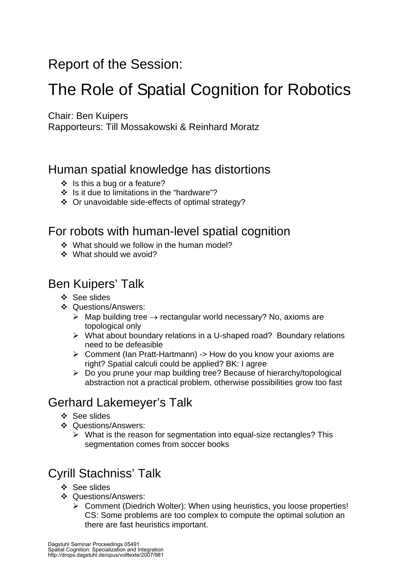# Report of the Session:

# The Role of Spatial Cognition for Robotics

Chair: Ben Kuipers

Rapporteurs: Till Mossakowski & Reinhard Moratz

## Human spatial knowledge has distortions

- ❖ Is this a bug or a feature?
- Is it due to limitations in the "hardware"?
- Or unavoidable side-effects of optimal strategy?

## For robots with human-level spatial cognition

- \* What should we follow in the human model?
- What should we avoid?

## Ben Kuipers' Talk

- ❖ See slides
- ❖ Questions/Answers:
	- $▶$  Map building tree  $→$  rectangular world necessary? No, axioms are topological only
	- ¾ What about boundary relations in a U-shaped road? Boundary relations need to be defeasible
	- ¾ Comment (Ian Pratt-Hartmann) -> How do you know your axioms are right? Spatial calculi could be applied? BK: I agree
	- $\triangleright$  Do you prune your map building tree? Because of hierarchy/topological abstraction not a practical problem, otherwise possibilities grow too fast

## Gerhard Lakemeyer's Talk

- ❖ See slides
- ❖ Questions/Answers:
	- $\triangleright$  What is the reason for segmentation into equal-size rectangles? This segmentation comes from soccer books

## Cyrill Stachniss' Talk

- ❖ See slides
- Questions/Answers:
	- ¾ Comment (Diedrich Wolter): When using heuristics, you loose properties! CS: Some problems are too complex to compute the optimal solution an there are fast heuristics important.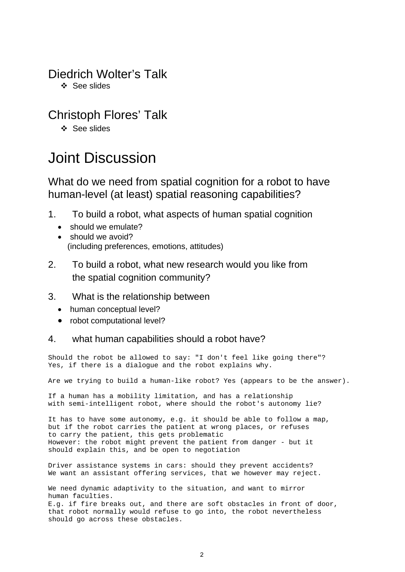## Diedrich Wolter's Talk

❖ See slides

## Christoph Flores' Talk

❖ See slides

# Joint Discussion

### What do we need from spatial cognition for a robot to have human-level (at least) spatial reasoning capabilities?

- 1. To build a robot, what aspects of human spatial cognition
	- should we emulate?
	- should we avoid? (including preferences, emotions, attitudes)
- 2. To build a robot, what new research would you like from the spatial cognition community?

### 3. What is the relationship between

- human conceptual level?
- robot computational level?

### 4. what human capabilities should a robot have?

Should the robot be allowed to say: "I don't feel like going there"? Yes, if there is a dialogue and the robot explains why.

Are we trying to build a human-like robot? Yes (appears to be the answer).

If a human has a mobility limitation, and has a relationship with semi-intelligent robot, where should the robot's autonomy lie?

It has to have some autonomy, e.g. it should be able to follow a map, but if the robot carries the patient at wrong places, or refuses to carry the patient, this gets problematic However: the robot might prevent the patient from danger - but it should explain this, and be open to negotiation

Driver assistance systems in cars: should they prevent accidents? We want an assistant offering services, that we however may reject.

We need dynamic adaptivity to the situation, and want to mirror human faculties. E.g. if fire breaks out, and there are soft obstacles in front of door, that robot normally would refuse to go into, the robot nevertheless should go across these obstacles.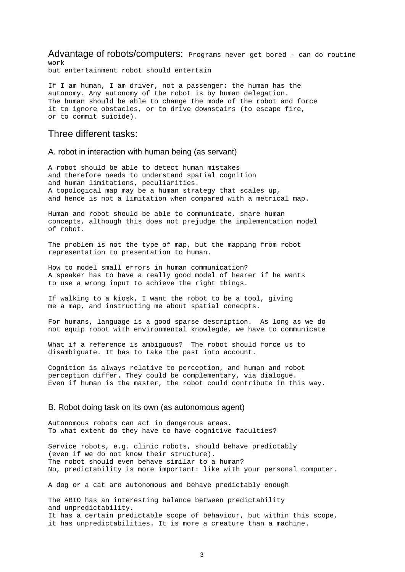Advantage of robots/computers: Programs never get bored - can do routine work

but entertainment robot should entertain

If I am human, I am driver, not a passenger: the human has the autonomy. Any autonomy of the robot is by human delegation. The human should be able to change the mode of the robot and force it to ignore obstacles, or to drive downstairs (to escape fire, or to commit suicide).

### Three different tasks:

#### A. robot in interaction with human being (as servant)

A robot should be able to detect human mistakes and therefore needs to understand spatial cognition and human limitations, peculiarities. A topological map may be a human strategy that scales up, and hence is not a limitation when compared with a metrical map.

Human and robot should be able to communicate, share human concepts, although this does not prejudge the implementation model of robot.

The problem is not the type of map, but the mapping from robot representation to presentation to human.

How to model small errors in human communication? A speaker has to have a really good model of hearer if he wants to use a wrong input to achieve the right things.

If walking to a kiosk, I want the robot to be a tool, giving me a map, and instructing me about spatial conecpts.

For humans, language is a good sparse description. As long as we do not equip robot with environmental knowlegde, we have to communicate

What if a reference is ambiguous? The robot should force us to disambiguate. It has to take the past into account.

Cognition is always relative to perception, and human and robot perception differ. They could be complementary, via dialogue. Even if human is the master, the robot could contribute in this way.

#### B. Robot doing task on its own (as autonomous agent)

Autonomous robots can act in dangerous areas. To what extent do they have to have cognitive faculties?

Service robots, e.g. clinic robots, should behave predictably (even if we do not know their structure). The robot should even behave similar to a human? No, predictability is more important: like with your personal computer.

A dog or a cat are autonomous and behave predictably enough

The ABIO has an interesting balance between predictability and unpredictability. It has a certain predictable scope of behaviour, but within this scope, it has unpredictabilities. It is more a creature than a machine.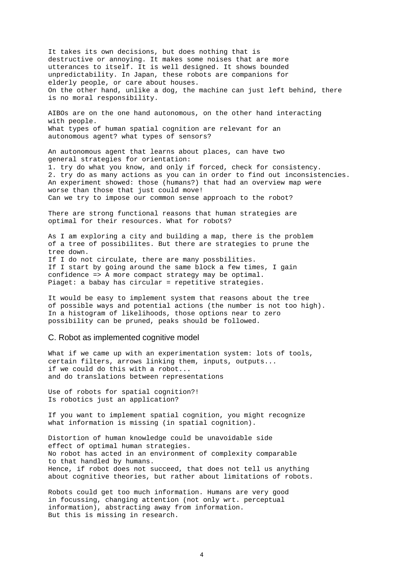It takes its own decisions, but does nothing that is destructive or annoying. It makes some noises that are more utterances to itself. It is well designed. It shows bounded unpredictability. In Japan, these robots are companions for elderly people, or care about houses. On the other hand, unlike a dog, the machine can just left behind, there is no moral responsibility.

AIBOs are on the one hand autonomous, on the other hand interacting with people. What types of human spatial cognition are relevant for an autonomous agent? what types of sensors?

An autonomous agent that learns about places, can have two general strategies for orientation: 1. try do what you know, and only if forced, check for consistency. 2. try do as many actions as you can in order to find out inconsistencies. An experiment showed: those (humans?) that had an overview map were worse than those that just could move! Can we try to impose our common sense approach to the robot?

There are strong functional reasons that human strategies are optimal for their resources. What for robots?

As I am exploring a city and building a map, there is the problem of a tree of possibilites. But there are strategies to prune the tree down. If I do not circulate, there are many possbilities. If I start by going around the same block a few times, I gain confidence => A more compact strategy may be optimal. Piaget: a babay has circular = repetitive strategies.

It would be easy to implement system that reasons about the tree of possible ways and potential actions (the number is not too high). In a histogram of likelihoods, those options near to zero possibility can be pruned, peaks should be followed.

#### C. Robot as implemented cognitive model

What if we came up with an experimentation system: lots of tools, certain filters, arrows linking them, inputs, outputs... if we could do this with a robot... and do translations between representations

Use of robots for spatial cognition?! Is robotics just an application?

If you want to implement spatial cognition, you might recognize what information is missing (in spatial cognition).

Distortion of human knowledge could be unavoidable side effect of optimal human strategies. No robot has acted in an environment of complexity comparable to that handled by humans. Hence, if robot does not succeed, that does not tell us anything about cognitive theories, but rather about limitations of robots.

Robots could get too much information. Humans are very good in focussing, changing attention (not only wrt. perceptual information), abstracting away from information. But this is missing in research.